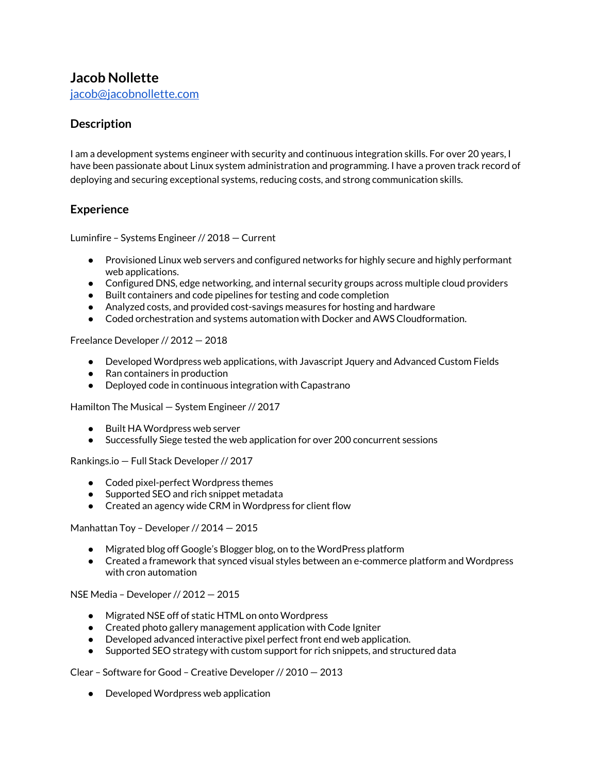# **Jacob Nollette**

[jacob@jacobnollette.com](mailto:jacob@jacobnollette.com)

# **Description**

I am a development systems engineer with security and continuous integration skills. For over 20 years, I have been passionate about Linux system administration and programming. I have a proven track record of deploying and securing exceptional systems, reducing costs, and strong communication skills.

## **Experience**

Luminfire – Systems Engineer // 2018 — Current

- Provisioned Linux web servers and configured networks for highly secure and highly performant web applications.
- Configured DNS, edge networking, and internal security groups across multiple cloud providers
- Built containers and code pipelines for testing and code completion
- Analyzed costs, and provided cost-savings measures for hosting and hardware
- Coded orchestration and systems automation with Docker and AWS Cloudformation.

Freelance Developer // 2012 — 2018

- Developed Wordpress web applications, with Javascript Jquery and Advanced Custom Fields
- Ran containers in production
- Deployed code in continuous integration with Capastrano

Hamilton The Musical — System Engineer // 2017

- Built HA Wordpress web server
- Successfully Siege tested the web application for over 200 concurrent sessions

Rankings.io — Full Stack Developer // 2017

- Coded pixel-perfect Wordpress themes
- Supported SEO and rich snippet metadata
- Created an agency wide CRM in Wordpress for client flow

Manhattan Toy – Developer // 2014 — 2015

- Migrated blog off Google's Blogger blog, on to the WordPress platform
- Created a framework that synced visual styles between an e-commerce platform and Wordpress with cron automation

NSE Media – Developer // 2012 — 2015

- Migrated NSE off of static HTML on onto Wordpress
- Created photo gallery management application with Code Igniter
- Developed advanced interactive pixel perfect front end web application.
- Supported SEO strategy with custom support for rich snippets, and structured data

Clear – Software for Good – Creative Developer // 2010 — 2013

● Developed Wordpress web application